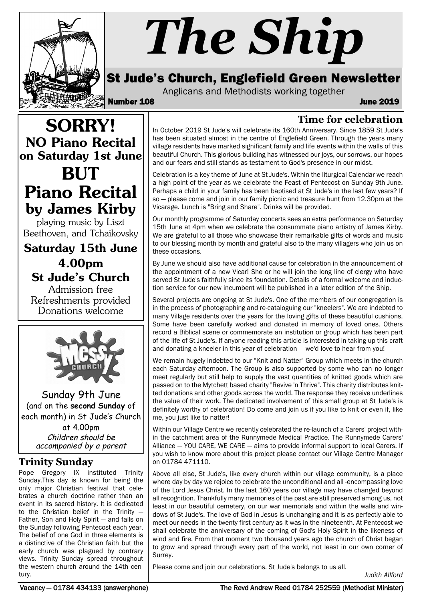

# *The Ship*

## St Jude's Church, Englefield Green Newsletter

Anglicans and Methodists working together

Number 108 June 2019

## SORRY! NO Piano Recital on Saturday 1st June BUT Piano Recital by James Kirby

playing music by Liszt Beethoven, and Tchaikovsky

Saturday 15th June 4.00pm St Jude's Church

Admission free Refreshments provided Donations welcome



Sunday 9th June (and on the **second Sunday** of each month) in St Jude's Church at 4.00pm

Children should be accompanied by a parent

## **Trinity Sunday**

Pope Gregory IX instituted Trinity Sunday.This day is known for being the only major Christian festival that celebrates a church doctrine rather than an event in its sacred history. It is dedicated to the Christian belief in the Trinity — Father, Son and Holy Spirit — and falls on the Sunday following Pentecost each year. The belief of one God in three elements is a distinctive of the Christian faith but the early church was plagued by contrary views. Trinity Sunday spread throughout the western church around the 14th century.

#### **Time for celebration** In October 2019 St Jude's will celebrate its 160th Anniversary. Since 1859 St Jude's has been situated almost in the centre of Englefield Green. Through the years many village residents have marked significant family and life events within the walls of this beautiful Church. This glorious building has witnessed our joys, our sorrows, our hopes and our fears and still stands as testament to God's presence in our midst.

Celebration is a key theme of June at St Jude's. Within the liturgical Calendar we reach a high point of the year as we celebrate the Feast of Pentecost on Sunday 9th June. Perhaps a child in your family has been baptised at St Jude's in the last few years? If so — please come and join in our family picnic and treasure hunt from 12.30pm at the Vicarage. Lunch is "Bring and Share". Drinks will be provided.

Our monthly programme of Saturday concerts sees an extra performance on Saturday 15th June at 4pm when we celebrate the consummate piano artistry of James Kirby. We are grateful to all those who showcase their remarkable gifts of words and music to our blessing month by month and grateful also to the many villagers who join us on these occasions.

By June we should also have additional cause for celebration in the announcement of the appointment of a new Vicar! She or he will join the long line of clergy who have served St Jude's faithfully since its foundation. Details of a formal welcome and induction service for our new incumbent will be published in a later edition of the Ship.

Several projects are ongoing at St Jude's. One of the members of our congregation is in the process of photographing and re-cataloguing our "kneelers". We are indebted to many Village residents over the years for the loving gifts of these beautiful cushions. Some have been carefully worked and donated in memory of loved ones. Others record a Biblical scene or commemorate an institution or group which has been part of the life of St Jude's. If anyone reading this article is interested in taking up this craft and donating a kneeler in this year of celebration — we'd love to hear from you!

We remain hugely indebted to our "Knit and Natter" Group which meets in the church each Saturday afternoon. The Group is also supported by some who can no longer meet regularly but still help to supply the vast quantities of knitted goods which are passed on to the Mytchett based charity "Revive 'n Thrive". This charity distributes knitted donations and other goods across the world. The response they receive underlines the value of their work. The dedicated involvement of this small group at St Jude's is definitely worthy of celebration! Do come and join us if you like to knit or even if, like me, you just like to natter!

Within our Village Centre we recently celebrated the re-launch of a Carers' project within the catchment area of the Runnymede Medical Practice. The Runnymede Carers' Alliance — YOU CARE, WE CARE — aims to provide informal support to local Carers. If you wish to know more about this project please contact our Village Centre Manager on 01784 471110.

Above all else, St Jude's, like every church within our village community, is a place where day by day we rejoice to celebrate the unconditional and all -encompassing love of the Lord Jesus Christ. In the last 160 years our village may have changed beyond all recognition. Thankfully many memories of the past are still preserved among us, not least in our beautiful cemetery, on our war memorials and within the walls and windows of St Jude's. The love of God in Jesus is unchanging and it is as perfectly able to meet our needs in the twenty-first century as it was in the nineteenth. At Pentecost we shall celebrate the anniversary of the coming of God's Holy Spirit in the likeness of wind and fire. From that moment two thousand years ago the church of Christ began to grow and spread through every part of the world, not least in our own corner of Surrey.

Please come and join our celebrations. St Jude's belongs to us all.